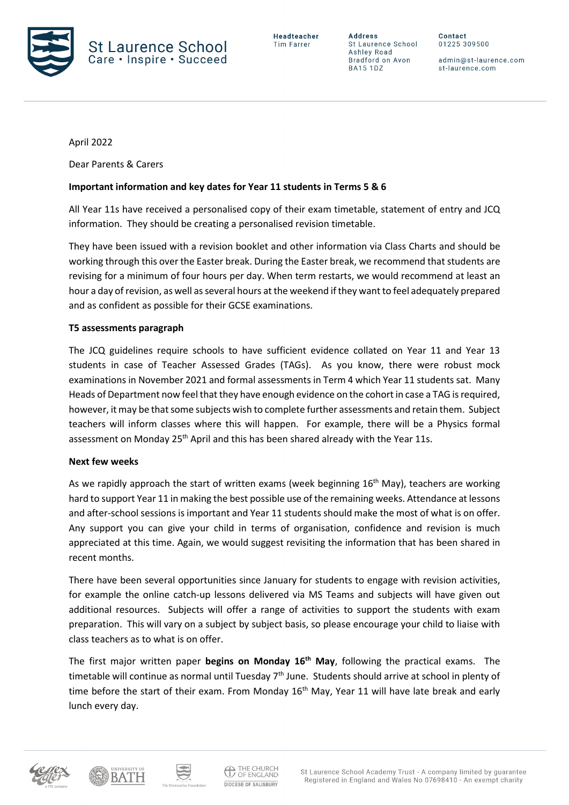

**Address** St Laurence School Ashley Road Bradford on Avon **BA15 1DZ** 

Contact 01225 309500

admin@st-laurence.com st-laurence.com

April 2022

Dear Parents & Carers

### **Important information and key dates for Year 11 students in Terms 5 & 6**

All Year 11s have received a personalised copy of their exam timetable, statement of entry and JCQ information. They should be creating a personalised revision timetable.

They have been issued with a revision booklet and other information via Class Charts and should be working through this over the Easter break. During the Easter break, we recommend that students are revising for a minimum of four hours per day. When term restarts, we would recommend at least an hour a day of revision, as well as several hours at the weekend if they want to feel adequately prepared and as confident as possible for their GCSE examinations.

### **T5 assessments paragraph**

The JCQ guidelines require schools to have sufficient evidence collated on Year 11 and Year 13 students in case of Teacher Assessed Grades (TAGs). As you know, there were robust mock examinations in November 2021 and formal assessments in Term 4 which Year 11 students sat. Many Heads of Department now feel that they have enough evidence on the cohort in case a TAG is required, however, it may be that some subjects wish to complete further assessments and retain them. Subject teachers will inform classes where this will happen. For example, there will be a Physics formal assessment on Monday 25<sup>th</sup> April and this has been shared already with the Year 11s.

### **Next few weeks**

As we rapidly approach the start of written exams (week beginning 16<sup>th</sup> May), teachers are working hard to support Year 11 in making the best possible use of the remaining weeks. Attendance at lessons and after-school sessions is important and Year 11 students should make the most of what is on offer. Any support you can give your child in terms of organisation, confidence and revision is much appreciated at this time. Again, we would suggest revisiting the information that has been shared in recent months.

There have been several opportunities since January for students to engage with revision activities, for example the online catch-up lessons delivered via MS Teams and subjects will have given out additional resources. Subjects will offer a range of activities to support the students with exam preparation. This will vary on a subject by subject basis, so please encourage your child to liaise with class teachers as to what is on offer.

The first major written paper **begins on Monday 16th May**, following the practical exams. The timetable will continue as normal until Tuesday 7<sup>th</sup> June. Students should arrive at school in plenty of time before the start of their exam. From Monday  $16<sup>th</sup>$  May, Year 11 will have late break and early lunch every day.





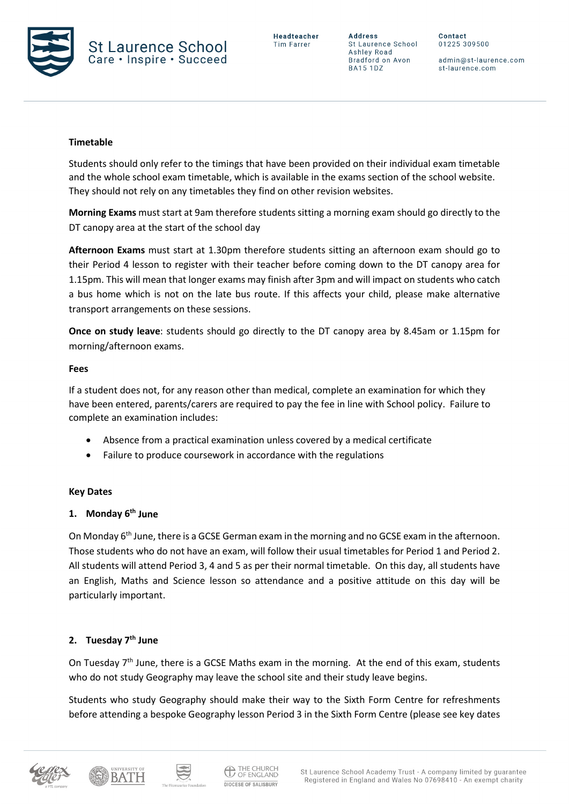

**Address** St Laurence School Ashley Road Bradford on Avon **BA15 1DZ** 

Contact 01225 309500

admin@st-laurence.com st-laurence.com

### **Timetable**

Students should only refer to the timings that have been provided on their individual exam timetable and the whole school exam timetable, which is available in the exams section of the school website. They should not rely on any timetables they find on other revision websites.

**Morning Exams** must start at 9am therefore students sitting a morning exam should go directly to the DT canopy area at the start of the school day

**Afternoon Exams** must start at 1.30pm therefore students sitting an afternoon exam should go to their Period 4 lesson to register with their teacher before coming down to the DT canopy area for 1.15pm. This will mean that longer exams may finish after 3pm and will impact on students who catch a bus home which is not on the late bus route. If this affects your child, please make alternative transport arrangements on these sessions.

**Once on study leave**: students should go directly to the DT canopy area by 8.45am or 1.15pm for morning/afternoon exams.

#### **Fees**

If a student does not, for any reason other than medical, complete an examination for which they have been entered, parents/carers are required to pay the fee in line with School policy. Failure to complete an examination includes:

- Absence from a practical examination unless covered by a medical certificate
- Failure to produce coursework in accordance with the regulations

#### **Key Dates**

### **1. Monday 6th June**

On Monday 6<sup>th</sup> June, there is a GCSE German exam in the morning and no GCSE exam in the afternoon. Those students who do not have an exam, will follow their usual timetables for Period 1 and Period 2. All students will attend Period 3, 4 and 5 as per their normal timetable. On this day, all students have an English, Maths and Science lesson so attendance and a positive attitude on this day will be particularly important.

#### **2. Tuesday 7th June**

On Tuesday 7<sup>th</sup> June, there is a GCSE Maths exam in the morning. At the end of this exam, students who do not study Geography may leave the school site and their study leave begins.

Students who study Geography should make their way to the Sixth Form Centre for refreshments before attending a bespoke Geography lesson Period 3 in the Sixth Form Centre (please see key dates



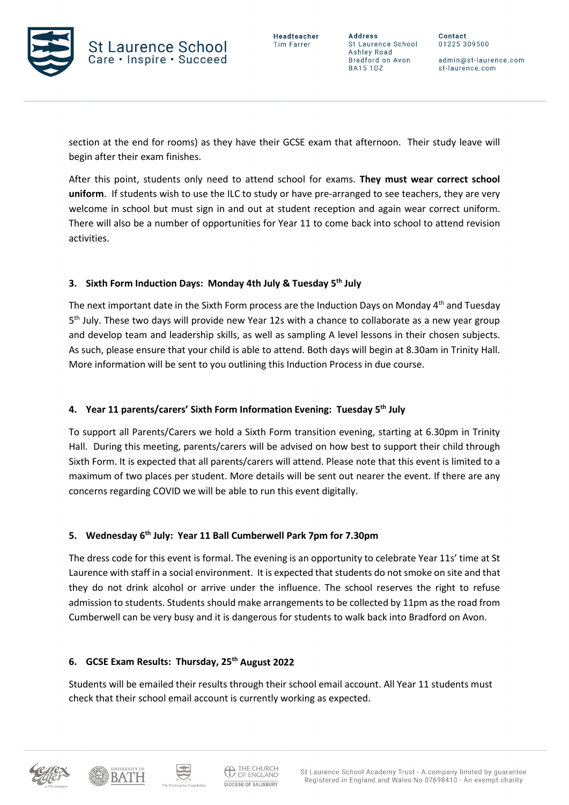

**Address** St Laurence School Ashley Road Bradford on Avon **BA15 1DZ** 

Contact 01225 309500

admin@st-laurence.com st-laurence.com

section at the end for rooms) as they have their GCSE exam that afternoon. Their study leave will begin after their exam finishes.

After this point, students only need to attend school for exams. **They must wear correct school uniform**. If students wish to use the ILC to study or have pre-arranged to see teachers, they are very welcome in school but must sign in and out at student reception and again wear correct uniform. There will also be a number of opportunities for Year 11 to come back into school to attend revision activities.

# **3. Sixth Form Induction Days: Monday 4th July & Tuesday 5th July**

The next important date in the Sixth Form process are the Induction Days on Monday  $4<sup>th</sup>$  and Tuesday 5th July. These two days will provide new Year 12s with a chance to collaborate as a new year group and develop team and leadership skills, as well as sampling A level lessons in their chosen subjects. As such, please ensure that your child is able to attend. Both days will begin at 8.30am in Trinity Hall. More information will be sent to you outlining this Induction Process in due course.

# **4. Year 11 parents/carers' Sixth Form Information Evening: Tuesday 5th July**

To support all Parents/Carers we hold a Sixth Form transition evening, starting at 6.30pm in Trinity Hall. During this meeting, parents/carers will be advised on how best to support their child through Sixth Form. It is expected that all parents/carers will attend. Please note that this event is limited to a maximum of two places per student. More details will be sent out nearer the event. If there are any concerns regarding COVID we will be able to run this event digitally.

# **5. Wednesday 6th July: Year 11 Ball Cumberwell Park 7pm for 7.30pm**

The dress code for this event is formal. The evening is an opportunity to celebrate Year 11s' time at St Laurence with staff in a social environment. It is expected that students do not smoke on site and that they do not drink alcohol or arrive under the influence. The school reserves the right to refuse admission to students. Students should make arrangements to be collected by 11pm as the road from Cumberwell can be very busy and it is dangerous for students to walk back into Bradford on Avon.

# **6. GCSE Exam Results: Thursday, 25th August 2022**

Students will be emailed their results through their school email account. All Year 11 students must check that their school email account is currently working as expected.







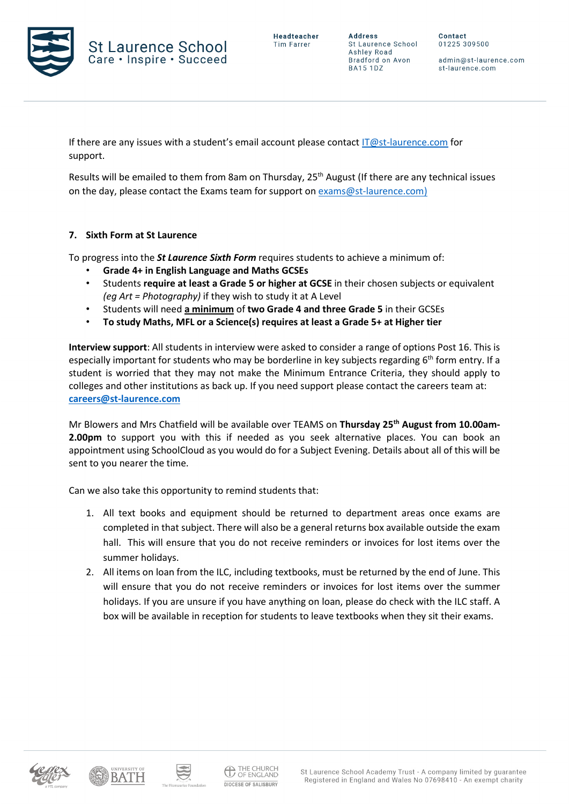

Contact 01225 309500

admin@st-laurence.com st-laurence.com

If there are any issues with a student's email account please contact  $IT@st$ -laurence.com for support.

Results will be emailed to them from 8am on Thursday, 25<sup>th</sup> August (If there are any technical issues on the day, please contact the Exams team for support on [exams@st-laurence.com\)](mailto:exams@st-laurence.com)

# **7. Sixth Form at St Laurence**

To progress into the *St Laurence Sixth Form* requires students to achieve a minimum of:

- **Grade 4+ in English Language and Maths GCSEs**
- Students **require at least a Grade 5 or higher at GCSE** in their chosen subjects or equivalent *(eg Art = Photography)* if they wish to study it at A Level
- Students will need **a minimum** of **two Grade 4 and three Grade 5** in their GCSEs
- **To study Maths, MFL or a Science(s) requires at least a Grade 5+ at Higher tier**

**Interview support**: All students in interview were asked to consider a range of options Post 16. This is especially important for students who may be borderline in key subjects regarding  $6<sup>th</sup>$  form entry. If a student is worried that they may not make the Minimum Entrance Criteria, they should apply to colleges and other institutions as back up. If you need support please contact the careers team at: **[careers@st-laurence.com](mailto:careers@st-laurence.com)**

Mr Blowers and Mrs Chatfield will be available over TEAMS on **Thursday 25th August from 10.00am-2.00pm** to support you with this if needed as you seek alternative places. You can book an appointment using SchoolCloud as you would do for a Subject Evening. Details about all of this will be sent to you nearer the time.

Can we also take this opportunity to remind students that:

- 1. All text books and equipment should be returned to department areas once exams are completed in that subject. There will also be a general returns box available outside the exam hall. This will ensure that you do not receive reminders or invoices for lost items over the summer holidays.
- 2. All items on loan from the ILC, including textbooks, must be returned by the end of June. This will ensure that you do not receive reminders or invoices for lost items over the summer holidays. If you are unsure if you have anything on loan, please do check with the ILC staff. A box will be available in reception for students to leave textbooks when they sit their exams.